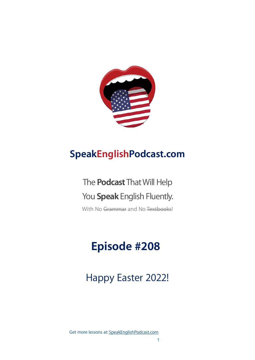

# **SpeakEnglishPodcast.com**

# The **Podcast** That Will Help You **Speak** English Fluently.

With No Grammar and No Textbooks!

# **Episode #208**

Happy Easter 2022!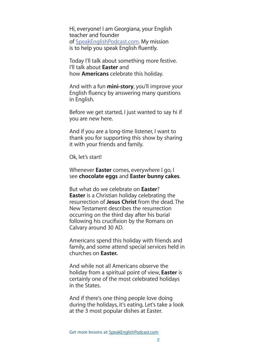Hi, everyone! I am Georgiana, your English teacher and founder of [SpeakEnglishPodcast.com.](http://speakenglishpodcast.com/) My mission is to help you speak English fluently.

Today I'll talk about something more festive. I'll talk about **Easter** and how **Americans** celebrate this holiday.

And with a fun **mini-story**, you'll improve your English fluency by answering many questions in English.

Before we get started, I just wanted to say hi if you are new here.

And if you are a long-time listener, I want to thank you for supporting this show by sharing it with your friends and family.

Ok, let's start!

Whenever **Easter** comes, everywhere I go, I see **chocolate eggs** and **Easter bunny cakes**.

But what do we celebrate on **Easter**? **Easter** is a Christian holiday celebrating the resurrection of **Jesus Christ** from the dead. The New Testament describes the resurrection occurring on the third day after his burial following his crucifixion by the Romans on Calvary around 30 AD.

Americans spend this holiday with friends and family, and some attend special services held in churches on **Easter.**

And while not all Americans observe the holiday from a spiritual point of view, **Easter** is certainly one of the most celebrated holidays in the States.

And if there's one thing people love doing during the holidays, it's eating. Let's take a look at the 3 most popular dishes at Easter.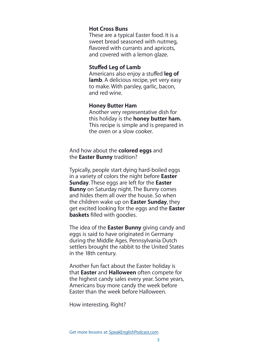#### **Hot Cross Buns**

These are a typical Easter food. It is a sweet bread seasoned with nutmeg, flavored with currants and apricots, and covered with a lemon glaze.

#### **Stuffed Leg of Lamb**

Americans also enjoy a stuffed **leg of lamb**. A delicious recipe, yet very easy to make. With parsley, garlic, bacon, and red wine.

#### **Honey Butter Ham**

Another very representative dish for this holiday is the **honey butter ham.**  This recipe is simple and is prepared in the oven or a slow cooker.

And how about the **colored eggs** and the **Easter Bunny** tradition?

Typically, people start dying hard-boiled eggs in a variety of colors the night before **Easter Sunday**. These eggs are left for the **Easter Bunny** on Saturday night. The Bunny comes and hides them all over the house. So when the children wake up on **Easter Sunday**, they get excited looking for the eggs and the **Easter baskets** filled with goodies.

The idea of the **Easter Bunny** giving candy and eggs is said to have originated in Germany during the Middle Ages. Pennsylvania Dutch settlers brought the rabbit to the United States in the 18th century.

Another fun fact about the Easter holiday is that **Easter** and **Halloween** often compete for the highest candy sales every year. Some years, Americans buy more candy the week before Easter than the week before Halloween.

How interesting. Right?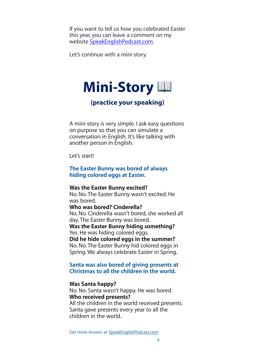If you want to tell us how you celebrated Easter this year, you can leave a comment on my website [SpeakEnglishPodcast.com.](http://SpeakEnglishPodcast.com)

Let's continue with a mini-story.



# **(practice your speaking)**

A mini-story is very simple. I ask easy questions on purpose so that you can simulate a conversation in English. It's like talking with another person in English.

Let's start!

# **The Easter Bunny was bored of always hiding colored eggs at Easter.**

**Was the Easter Bunny excited?** No. No. The Easter Bunny wasn't excited. He was bored. **Who was bored? Cinderella?** No. No. Cinderella wasn't bored, she worked all day. The Easter Bunny was bored. **Was the Easter Bunny hiding something?** Yes. He was hiding colored eggs. **Did he hide colored eggs in the summer?** No. No. The Easter Bunny hid colored eggs in Spring. We always celebrate Easter in Spring.

## **Santa was also bored of giving presents at Christmas to all the children in the world.**

#### **Was Santa happy?**

No. No. Santa wasn't happy. He was bored. **Who received presents?**  All the children in the world received presents. Santa gave presents every year to all the children in the world.

Get more lessons at: [SpeakEnglishPodcast.com](https://www.speakenglishpod.com/)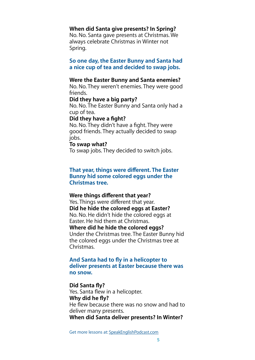#### **When did Santa give presents? In Spring?**

No. No. Santa gave presents at Christmas. We always celebrate Christmas in Winter not Spring.

**So one day, the Easter Bunny and Santa had a nice cup of tea and decided to swap jobs.**

#### **Were the Easter Bunny and Santa enemies?**

No. No. They weren't enemies. They were good friends.

#### **Did they have a big party?**

No. No. The Easter Bunny and Santa only had a cup of tea.

#### **Did they have a fight?**

No. No. They didn't have a fight. They were good friends. They actually decided to swap jobs.

#### **To swap what?**

To swap jobs. They decided to switch jobs.

## **That year, things were different. The Easter Bunny hid some colored eggs under the Christmas tree.**

#### **Were things different that year?**

Yes. Things were different that year. **Did he hide the colored eggs at Easter?** No. No. He didn't hide the colored eggs at Easter. He hid them at Christmas. **Where did he hide the colored eggs?** Under the Christmas tree. The Easter Bunny hid the colored eggs under the Christmas tree at Christmas.

## **And Santa had to fly in a helicopter to deliver presents at Easter because there was no snow.**

#### **Did Santa fly?**

Yes. Santa flew in a helicopter. **Why did he fly?** He flew because there was no snow and had to deliver many presents. **When did Santa deliver presents? In Winter?**

Get more lessons at: [SpeakEnglishPodcast.com](https://www.speakenglishpod.com/)